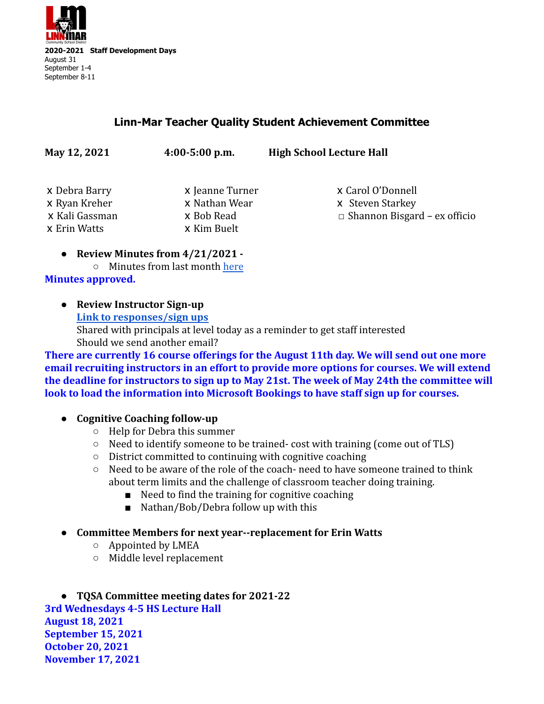

## **Linn-Mar Teacher Quality Student Achievement Committee**

| x Debra Barry  | x Jeanne Turner | x Carol O'Donnell                   |
|----------------|-----------------|-------------------------------------|
| x Ryan Kreher  | x Nathan Wear   | x Steven Starkey                    |
| x Kali Gassman | x Bob Read      | $\Box$ Shannon Bisgard – ex officio |
| x Erin Watts   | x Kim Buelt     |                                     |
|                |                 |                                     |

- **● Review Minutes from 4/21/2021 -**
	- Minutes from last month [here](https://docs.google.com/document/d/1OOhWv6zPx2HtVcT2ummwEs_FK6JJBQcc80pAeGQTGfo/edit)

**Minutes approved.**

**● Review Instructor Sign-up [Link to responses/sign ups](https://docs.google.com/spreadsheets/d/1j5lu-7Nb_fUq1uahJtJyfsi0OLXR4hkSjE4OD9D4otM/edit#gid=1536891515)** Shared with principals at level today as a reminder to get staff interested Should we send another email?

**May 12, 2021 4:00-5:00 p.m. High School Lecture Hall**

**There are currently 16 course offerings for the August 11th day. We will send out one more email recruiting instructors in an effort to provide more options for courses. We will extend the deadline for instructors to sign up to May 21st. The week of May 24th the committee will look to load the information into Microsoft Bookings to have staff sign up for courses.**

- **● Cognitive Coaching follow-up**
	- Help for Debra this summer
	- Need to identify someone to be trained- cost with training (come out of TLS)
	- District committed to continuing with cognitive coaching
	- $\circ$  Need to be aware of the role of the coach- need to have someone trained to think about term limits and the challenge of classroom teacher doing training.
		- Need to find the training for cognitive coaching
		- Nathan/Bob/Debra follow up with this
- **● Committee Members for next year--replacement for Erin Watts**
	- Appointed by LMEA
	- Middle level replacement

**● TQSA Committee meeting dates for 2021-22 3rd Wednesdays 4-5 HS Lecture Hall August 18, 2021 September 15, 2021 October 20, 2021 November 17, 2021**